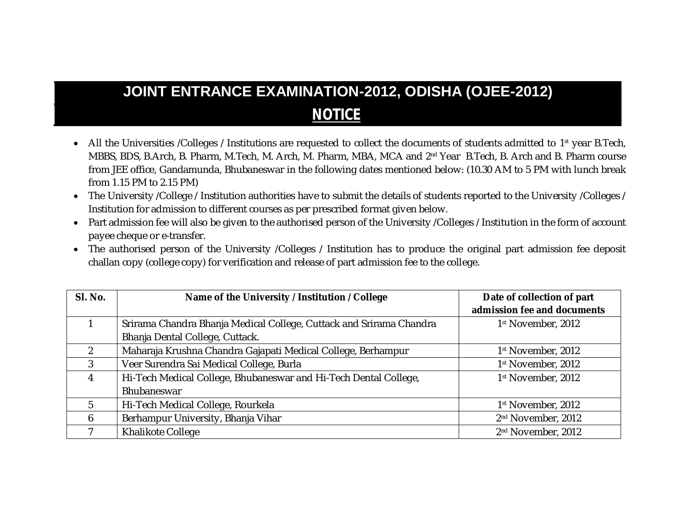# **JOINT ENTRANCE EXAMINATION-2012, ODISHA (OJEE-2012)**

## **NOTICE**

- All the Universities /Colleges / Institutions are requested to collect the documents of students admitted to 1<sup>st</sup> year B.Tech, MBBS, BDS, B.Arch, B. Pharm, M.Tech, M. Arch, M. Pharm, MBA, MCA and 2<sup>nd</sup> Year B.Tech, B. Arch and B. Pharm course from JEE office, Gandamunda, Bhubaneswar in the following dates mentioned below: (10.30 AM to 5 PM with lunch break from 1.15 PM to 2.15 PM)
- The University /College / Institution authorities have to submit the details of students reported to the University /Colleges / Institution for admission to different courses as per prescribed format given below.
- Part admission fee will also be given to the authorised person of the University /Colleges / Institution in the form of account payee cheque or e-transfer.
- The authorised person of the University /Colleges / Institution has to produce the original part admission fee deposit challan copy (college copy) for verification and release of part admission fee to the college.

| SI. No.       | Name of the University / Institution / College                      | Date of collection of part     |
|---------------|---------------------------------------------------------------------|--------------------------------|
|               |                                                                     | admission fee and documents    |
|               | Srirama Chandra Bhanja Medical College, Cuttack and Srirama Chandra | 1 <sup>st</sup> November, 2012 |
|               | Bhanja Dental College, Cuttack.                                     |                                |
| $\mathcal{P}$ | Maharaja Krushna Chandra Gajapati Medical College, Berhampur        | 1 <sup>st</sup> November, 2012 |
| 3             | Veer Surendra Sai Medical College, Burla                            | 1 <sup>st</sup> November, 2012 |
| 4             | Hi-Tech Medical College, Bhubaneswar and Hi-Tech Dental College,    | 1 <sup>st</sup> November, 2012 |
|               | <b>Bhubaneswar</b>                                                  |                                |
| 5             | Hi-Tech Medical College, Rourkela                                   | 1st November, 2012             |
| 6             | Berhampur University, Bhanja Vihar                                  | 2 <sup>nd</sup> November, 2012 |
|               | Khalikote College                                                   | 2 <sup>nd</sup> November, 2012 |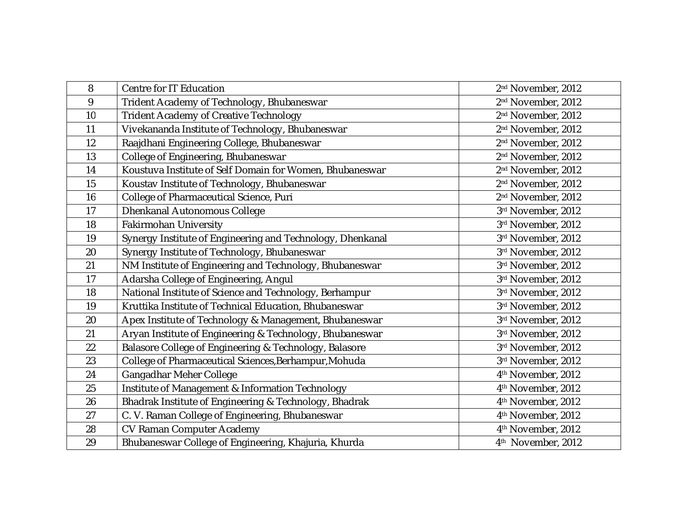| 8  | Centre for IT Education                                    | 2 <sup>nd</sup> November, 2012 |
|----|------------------------------------------------------------|--------------------------------|
| 9  | Trident Academy of Technology, Bhubaneswar                 | 2 <sup>nd</sup> November, 2012 |
| 10 | <b>Trident Academy of Creative Technology</b>              | 2 <sup>nd</sup> November, 2012 |
| 11 | Vivekananda Institute of Technology, Bhubaneswar           | 2 <sup>nd</sup> November, 2012 |
| 12 | Raajdhani Engineering College, Bhubaneswar                 | 2 <sup>nd</sup> November, 2012 |
| 13 | College of Engineering, Bhubaneswar                        | 2 <sup>nd</sup> November, 2012 |
| 14 | Koustuva Institute of Self Domain for Women, Bhubaneswar   | 2 <sup>nd</sup> November, 2012 |
| 15 | Koustav Institute of Technology, Bhubaneswar               | 2 <sup>nd</sup> November, 2012 |
| 16 | College of Pharmaceutical Science, Puri                    | 2 <sup>nd</sup> November, 2012 |
| 17 | Dhenkanal Autonomous College                               | 3rd November, 2012             |
| 18 | <b>Fakirmohan University</b>                               | 3rd November, 2012             |
| 19 | Synergy Institute of Engineering and Technology, Dhenkanal | 3rd November, 2012             |
| 20 | Synergy Institute of Technology, Bhubaneswar               | 3rd November, 2012             |
| 21 | NM Institute of Engineering and Technology, Bhubaneswar    | 3rd November, 2012             |
| 17 | Adarsha College of Engineering, Angul                      | 3rd November, 2012             |
| 18 | National Institute of Science and Technology, Berhampur    | 3rd November, 2012             |
| 19 | Kruttika Institute of Technical Education, Bhubaneswar     | 3rd November, 2012             |
| 20 | Apex Institute of Technology & Management, Bhubaneswar     | 3rd November, 2012             |
| 21 | Aryan Institute of Engineering & Technology, Bhubaneswar   | 3rd November, 2012             |
| 22 | Balasore College of Engineering & Technology, Balasore     | 3rd November, 2012             |
| 23 | College of Pharmaceutical Sciences, Berhampur, Mohuda      | 3rd November, 2012             |
| 24 | Gangadhar Meher College                                    | 4th November, 2012             |
| 25 | Institute of Management & Information Technology           | 4th November, 2012             |
| 26 | Bhadrak Institute of Engineering & Technology, Bhadrak     | 4 <sup>th</sup> November, 2012 |
| 27 | C. V. Raman College of Engineering, Bhubaneswar            | 4th November, 2012             |
| 28 | CV Raman Computer Academy                                  | 4th November, 2012             |
| 29 | Bhubaneswar College of Engineering, Khajuria, Khurda       | 4 <sup>th</sup> November, 2012 |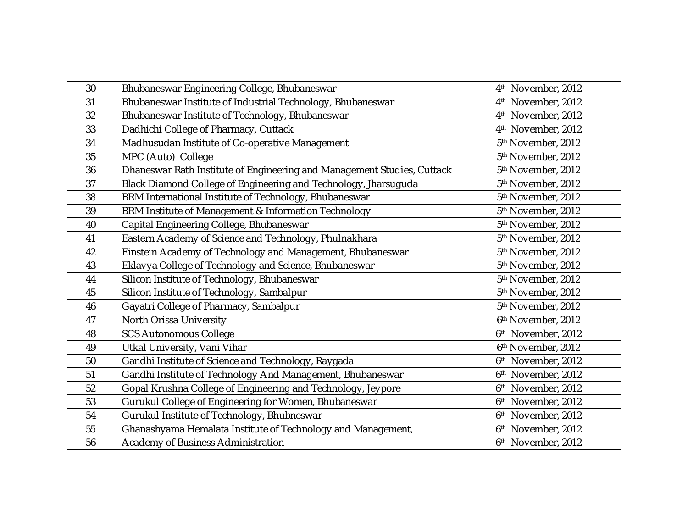| 30 | Bhubaneswar Engineering College, Bhubaneswar                            | 4 <sup>th</sup> November, 2012 |
|----|-------------------------------------------------------------------------|--------------------------------|
| 31 | Bhubaneswar Institute of Industrial Technology, Bhubaneswar             | 4 <sup>th</sup> November, 2012 |
| 32 | Bhubaneswar Institute of Technology, Bhubaneswar                        | 4 <sup>th</sup> November, 2012 |
| 33 | Dadhichi College of Pharmacy, Cuttack                                   | 4 <sup>th</sup> November, 2012 |
| 34 | Madhusudan Institute of Co-operative Management                         | 5 <sup>th</sup> November, 2012 |
| 35 | MPC (Auto) College                                                      | 5 <sup>th</sup> November, 2012 |
| 36 | Dhaneswar Rath Institute of Engineering and Management Studies, Cuttack | 5 <sup>th</sup> November, 2012 |
| 37 | Black Diamond College of Engineering and Technology, Jharsuguda         | 5 <sup>th</sup> November, 2012 |
| 38 | BRM International Institute of Technology, Bhubaneswar                  | 5 <sup>th</sup> November, 2012 |
| 39 | BRM Institute of Management & Information Technology                    | 5 <sup>th</sup> November, 2012 |
| 40 | Capital Engineering College, Bhubaneswar                                | 5 <sup>th</sup> November, 2012 |
| 41 | Eastern Academy of Science and Technology, Phulnakhara                  | 5 <sup>th</sup> November, 2012 |
| 42 | Einstein Academy of Technology and Management, Bhubaneswar              | 5 <sup>th</sup> November, 2012 |
| 43 | Eklavya College of Technology and Science, Bhubaneswar                  | 5 <sup>th</sup> November, 2012 |
| 44 | Silicon Institute of Technology, Bhubaneswar                            | 5 <sup>th</sup> November, 2012 |
| 45 | Silicon Institute of Technology, Sambalpur                              | 5 <sup>th</sup> November, 2012 |
| 46 | Gayatri College of Pharmacy, Sambalpur                                  | 5 <sup>th</sup> November, 2012 |
| 47 | North Orissa University                                                 | 6 <sup>th</sup> November, 2012 |
| 48 | <b>SCS Autonomous College</b>                                           | 6 <sup>th</sup> November, 2012 |
| 49 | Utkal University, Vani Vihar                                            | 6 <sup>th</sup> November, 2012 |
| 50 | Gandhi Institute of Science and Technology, Raygada                     | 6 <sup>th</sup> November, 2012 |
| 51 | Gandhi Institute of Technology And Management, Bhubaneswar              | 6 <sup>th</sup> November, 2012 |
| 52 | Gopal Krushna College of Engineering and Technology, Jeypore            | 6 <sup>th</sup> November, 2012 |
| 53 | Gurukul College of Engineering for Women, Bhubaneswar                   | 6 <sup>th</sup> November, 2012 |
| 54 | Gurukul Institute of Technology, Bhubneswar                             | 6 <sup>th</sup> November, 2012 |
| 55 | Ghanashyama Hemalata Institute of Technology and Management,            | 6 <sup>th</sup> November, 2012 |
| 56 | Academy of Business Administration                                      | 6 <sup>th</sup> November, 2012 |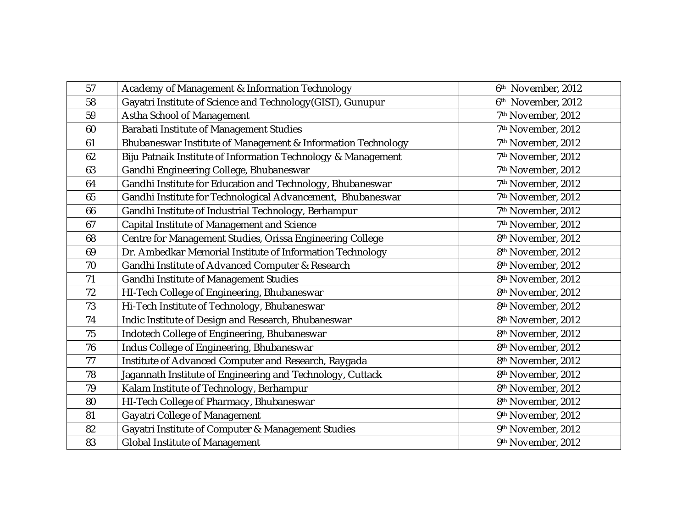| 57 | Academy of Management & Information Technology                | 6 <sup>th</sup> November, 2012 |
|----|---------------------------------------------------------------|--------------------------------|
| 58 | Gayatri Institute of Science and Technology(GIST), Gunupur    | 6 <sup>th</sup> November, 2012 |
| 59 | Astha School of Management                                    | 7th November, 2012             |
| 60 | Barabati Institute of Management Studies                      | 7th November, 2012             |
| 61 | Bhubaneswar Institute of Management & Information Technology  | 7th November, 2012             |
| 62 | Biju Patnaik Institute of Information Technology & Management | 7 <sup>th</sup> November, 2012 |
| 63 | Gandhi Engineering College, Bhubaneswar                       | 7 <sup>th</sup> November, 2012 |
| 64 | Gandhi Institute for Education and Technology, Bhubaneswar    | 7 <sup>th</sup> November, 2012 |
| 65 | Gandhi Institute for Technological Advancement, Bhubaneswar   | 7 <sup>th</sup> November, 2012 |
| 66 | Gandhi Institute of Industrial Technology, Berhampur          | 7th November, 2012             |
| 67 | Capital Institute of Management and Science                   | 7 <sup>th</sup> November, 2012 |
| 68 | Centre for Management Studies, Orissa Engineering College     | 8 <sup>th</sup> November, 2012 |
| 69 | Dr. Ambedkar Memorial Institute of Information Technology     | 8 <sup>th</sup> November, 2012 |
| 70 | Gandhi Institute of Advanced Computer & Research              | 8 <sup>th</sup> November, 2012 |
| 71 | Gandhi Institute of Management Studies                        | 8 <sup>th</sup> November, 2012 |
| 72 | HI-Tech College of Engineering, Bhubaneswar                   | 8 <sup>th</sup> November, 2012 |
| 73 | Hi-Tech Institute of Technology, Bhubaneswar                  | 8 <sup>th</sup> November, 2012 |
| 74 | Indic Institute of Design and Research, Bhubaneswar           | 8 <sup>th</sup> November, 2012 |
| 75 | Indotech College of Engineering, Bhubaneswar                  | 8 <sup>th</sup> November, 2012 |
| 76 | Indus College of Engineering, Bhubaneswar                     | 8 <sup>th</sup> November, 2012 |
| 77 | Institute of Advanced Computer and Research, Raygada          | 8 <sup>th</sup> November, 2012 |
| 78 | Jagannath Institute of Engineering and Technology, Cuttack    | 8 <sup>th</sup> November, 2012 |
| 79 | Kalam Institute of Technology, Berhampur                      | 8 <sup>th</sup> November, 2012 |
| 80 | HI-Tech College of Pharmacy, Bhubaneswar                      | 8 <sup>th</sup> November, 2012 |
| 81 | Gayatri College of Management                                 | 9th November, 2012             |
| 82 | Gayatri Institute of Computer & Management Studies            | 9th November, 2012             |
| 83 | Global Institute of Management                                | 9th November, 2012             |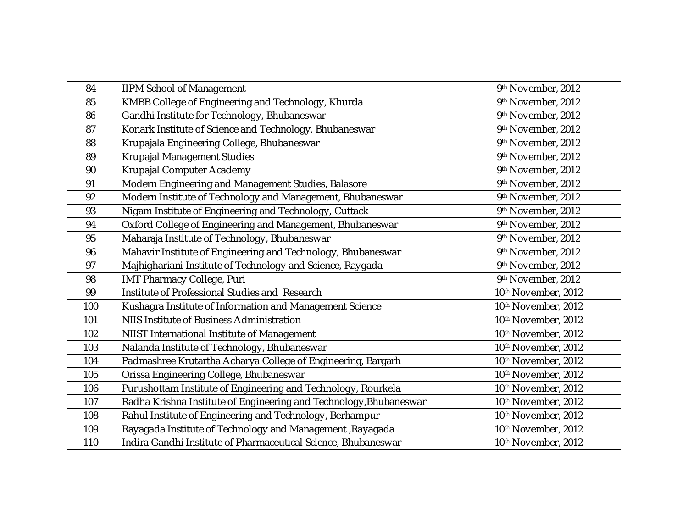| 84  | <b>IIPM School of Management</b>                                   | 9th November, 2012  |
|-----|--------------------------------------------------------------------|---------------------|
| 85  | KMBB College of Engineering and Technology, Khurda                 | 9th November, 2012  |
| 86  | Gandhi Institute for Technology, Bhubaneswar                       | 9th November, 2012  |
| 87  | Konark Institute of Science and Technology, Bhubaneswar            | 9th November, 2012  |
| 88  | Krupajala Engineering College, Bhubaneswar                         | 9th November, 2012  |
| 89  | Krupajal Management Studies                                        | 9th November, 2012  |
| 90  | Krupajal Computer Academy                                          | 9th November, 2012  |
| 91  | Modern Engineering and Management Studies, Balasore                | 9th November, 2012  |
| 92  | Modern Institute of Technology and Management, Bhubaneswar         | 9th November, 2012  |
| 93  | Nigam Institute of Engineering and Technology, Cuttack             | 9th November, 2012  |
| 94  | Oxford College of Engineering and Management, Bhubaneswar          | 9th November, 2012  |
| 95  | Maharaja Institute of Technology, Bhubaneswar                      | 9th November, 2012  |
| 96  | Mahavir Institute of Engineering and Technology, Bhubaneswar       | 9th November, 2012  |
| 97  | Majhighariani Institute of Technology and Science, Raygada         | 9th November, 2012  |
| 98  | IMT Pharmacy College, Puri                                         | 9th November, 2012  |
| 99  | Institute of Professional Studies and Research                     | 10th November, 2012 |
| 100 | Kushagra Institute of Information and Management Science           | 10th November, 2012 |
| 101 | NIIS Institute of Business Administration                          | 10th November, 2012 |
| 102 | NIIST International Institute of Management                        | 10th November, 2012 |
| 103 | Nalanda Institute of Technology, Bhubaneswar                       | 10th November, 2012 |
| 104 | Padmashree Krutartha Acharya College of Engineering, Bargarh       | 10th November, 2012 |
| 105 | Orissa Engineering College, Bhubaneswar                            | 10th November, 2012 |
| 106 | Purushottam Institute of Engineering and Technology, Rourkela      | 10th November, 2012 |
| 107 | Radha Krishna Institute of Engineering and Technology, Bhubaneswar | 10th November, 2012 |
| 108 | Rahul Institute of Engineering and Technology, Berhampur           | 10th November, 2012 |
| 109 | Rayagada Institute of Technology and Management, Rayagada          | 10th November, 2012 |
| 110 | Indira Gandhi Institute of Pharmaceutical Science, Bhubaneswar     | 10th November, 2012 |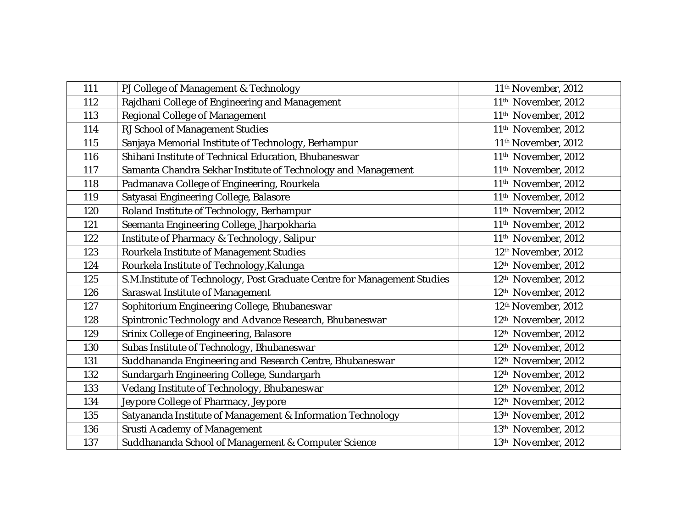| 111 | PJ College of Management & Technology                                    | 11 <sup>th</sup> November, 2012 |
|-----|--------------------------------------------------------------------------|---------------------------------|
| 112 | Rajdhani College of Engineering and Management                           | 11 <sup>th</sup> November, 2012 |
| 113 | Regional College of Management                                           | 11 <sup>th</sup> November, 2012 |
| 114 | RJ School of Management Studies                                          | 11 <sup>th</sup> November, 2012 |
| 115 | Sanjaya Memorial Institute of Technology, Berhampur                      | 11 <sup>th</sup> November, 2012 |
| 116 | Shibani Institute of Technical Education, Bhubaneswar                    | 11 <sup>th</sup> November, 2012 |
| 117 | Samanta Chandra Sekhar Institute of Technology and Management            | 11 <sup>th</sup> November, 2012 |
| 118 | Padmanava College of Engineering, Rourkela                               | 11 <sup>th</sup> November, 2012 |
| 119 | Satyasai Engineering College, Balasore                                   | 11 <sup>th</sup> November, 2012 |
| 120 | Roland Institute of Technology, Berhampur                                | 11 <sup>th</sup> November, 2012 |
| 121 | Seemanta Engineering College, Jharpokharia                               | 11 <sup>th</sup> November, 2012 |
| 122 | Institute of Pharmacy & Technology, Salipur                              | 11 <sup>th</sup> November, 2012 |
| 123 | Rourkela Institute of Management Studies                                 | 12 <sup>th</sup> November, 2012 |
| 124 | Rourkela Institute of Technology, Kalunga                                | 12th November, 2012             |
| 125 | S.M.Institute of Technology, Post Graduate Centre for Management Studies | 12th November, 2012             |
| 126 | Saraswat Institute of Management                                         | 12 <sup>th</sup> November, 2012 |
| 127 | Sophitorium Engineering College, Bhubaneswar                             | 12 <sup>th</sup> November, 2012 |
| 128 | Spintronic Technology and Advance Research, Bhubaneswar                  | 12th November, 2012             |
| 129 | Srinix College of Engineering, Balasore                                  | 12th November, 2012             |
| 130 | Subas Institute of Technology, Bhubaneswar                               | 12th November, 2012             |
| 131 | Suddhananda Engineering and Research Centre, Bhubaneswar                 | 12th November, 2012             |
| 132 | Sundargarh Engineering College, Sundargarh                               | 12th November, 2012             |
| 133 | Vedang Institute of Technology, Bhubaneswar                              | 12th November, 2012             |
| 134 | Jeypore College of Pharmacy, Jeypore                                     | 12 <sup>th</sup> November, 2012 |
| 135 | Satyananda Institute of Management & Information Technology              | 13th November, 2012             |
| 136 | Srusti Academy of Management                                             | 13th November, 2012             |
| 137 | Suddhananda School of Management & Computer Science                      | 13th November, 2012             |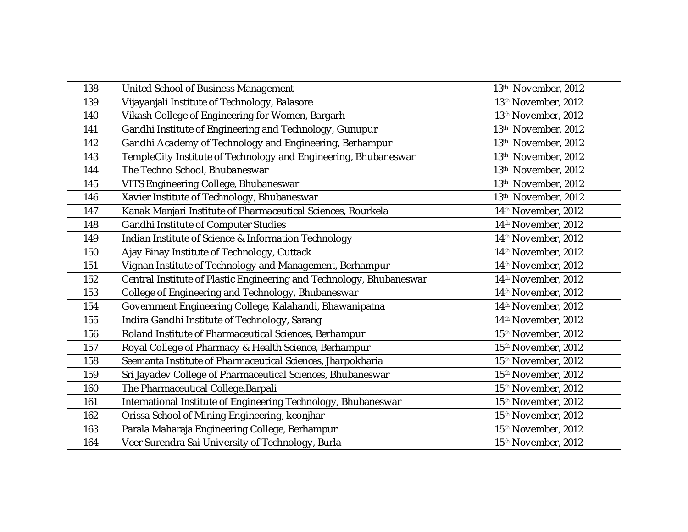| 138 | United School of Business Management                                 | 13th November, 2012             |
|-----|----------------------------------------------------------------------|---------------------------------|
| 139 | Vijayanjali Institute of Technology, Balasore                        | 13 <sup>th</sup> November, 2012 |
| 140 | Vikash College of Engineering for Women, Bargarh                     | 13 <sup>th</sup> November, 2012 |
| 141 | Gandhi Institute of Engineering and Technology, Gunupur              | 13th November, 2012             |
| 142 | Gandhi Academy of Technology and Engineering, Berhampur              | 13th November, 2012             |
| 143 | TempleCity Institute of Technology and Engineering, Bhubaneswar      | 13th November, 2012             |
| 144 | The Techno School, Bhubaneswar                                       | 13th November, 2012             |
| 145 | VITS Engineering College, Bhubaneswar                                | 13th November, 2012             |
| 146 | Xavier Institute of Technology, Bhubaneswar                          | 13th November, 2012             |
| 147 | Kanak Manjari Institute of Pharmaceutical Sciences, Rourkela         | 14th November, 2012             |
| 148 | Gandhi Institute of Computer Studies                                 | 14th November, 2012             |
| 149 | Indian Institute of Science & Information Technology                 | 14th November, 2012             |
| 150 | Ajay Binay Institute of Technology, Cuttack                          | 14th November, 2012             |
| 151 | Vignan Institute of Technology and Management, Berhampur             | 14th November, 2012             |
| 152 | Central Institute of Plastic Engineering and Technology, Bhubaneswar | 14th November, 2012             |
| 153 | College of Engineering and Technology, Bhubaneswar                   | 14th November, 2012             |
| 154 | Government Engineering College, Kalahandi, Bhawanipatna              | 14th November, 2012             |
| 155 | Indira Gandhi Institute of Technology, Sarang                        | 14th November, 2012             |
| 156 | Roland Institute of Pharmaceutical Sciences, Berhampur               | 15th November, 2012             |
| 157 | Royal College of Pharmacy & Health Science, Berhampur                | 15th November, 2012             |
| 158 | Seemanta Institute of Pharmaceutical Sciences, Jharpokharia          | 15th November, 2012             |
| 159 | Sri Jayadev College of Pharmaceutical Sciences, Bhubaneswar          | 15 <sup>th</sup> November, 2012 |
| 160 | The Pharmaceutical College, Barpali                                  | 15th November, 2012             |
| 161 | International Institute of Engineering Technology, Bhubaneswar       | 15 <sup>th</sup> November, 2012 |
| 162 | Orissa School of Mining Engineering, keonjhar                        | 15th November, 2012             |
| 163 | Parala Maharaja Engineering College, Berhampur                       | 15th November, 2012             |
| 164 | Veer Surendra Sai University of Technology, Burla                    | 15th November, 2012             |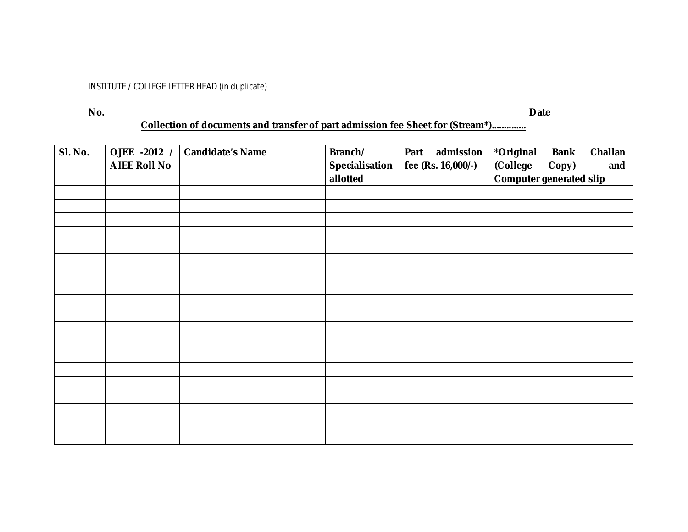#### INSTITUTE / COLLEGE LETTER HEAD (in duplicate)

**No. Date**

### **Collection of documents and transfer of part admission fee Sheet for (Stream\*)..............**

| SI. No. | OJEE -2012 /<br><b>AIEE Roll No</b> | <b>Candidate's Name</b> | Branch/<br>Specialisation<br>allotted | admission<br>Part<br>fee (Rs. 16,000/-) | *Original<br>Challan<br><b>Bank</b><br>(College<br>Copy)<br>and<br><b>Computer generated slip</b> |
|---------|-------------------------------------|-------------------------|---------------------------------------|-----------------------------------------|---------------------------------------------------------------------------------------------------|
|         |                                     |                         |                                       |                                         |                                                                                                   |
|         |                                     |                         |                                       |                                         |                                                                                                   |
|         |                                     |                         |                                       |                                         |                                                                                                   |
|         |                                     |                         |                                       |                                         |                                                                                                   |
|         |                                     |                         |                                       |                                         |                                                                                                   |
|         |                                     |                         |                                       |                                         |                                                                                                   |
|         |                                     |                         |                                       |                                         |                                                                                                   |
|         |                                     |                         |                                       |                                         |                                                                                                   |
|         |                                     |                         |                                       |                                         |                                                                                                   |
|         |                                     |                         |                                       |                                         |                                                                                                   |
|         |                                     |                         |                                       |                                         |                                                                                                   |
|         |                                     |                         |                                       |                                         |                                                                                                   |
|         |                                     |                         |                                       |                                         |                                                                                                   |
|         |                                     |                         |                                       |                                         |                                                                                                   |
|         |                                     |                         |                                       |                                         |                                                                                                   |
|         |                                     |                         |                                       |                                         |                                                                                                   |
|         |                                     |                         |                                       |                                         |                                                                                                   |
|         |                                     |                         |                                       |                                         |                                                                                                   |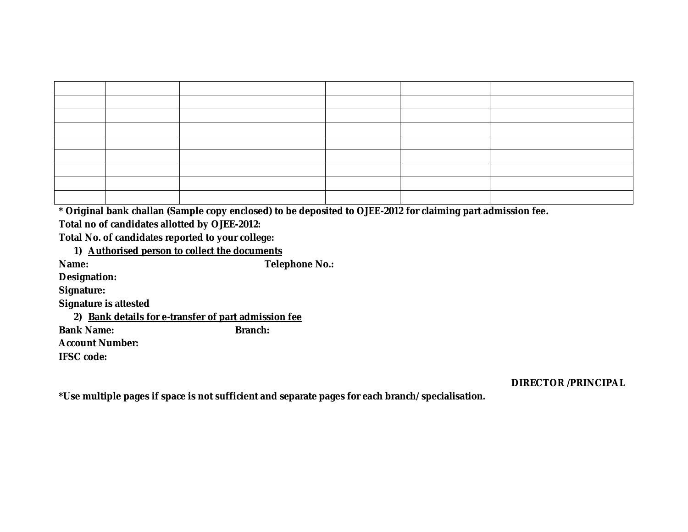**\* Original bank challan (Sample copy enclosed) to be deposited to OJEE-2012 for claiming part admission fee.** 

**Total no of candidates allotted by OJEE-2012:**

**Total No. of candidates reported to your college:**

**1) Authorised person to collect the documents Name: Telephone No.:**

**Designation:**

**Signature:**

**Signature is attested**

**2) Bank details for e-transfer of part admission fee**

**Bank Name: Branch: Branch:** 

**Account Number:**

**IFSC code:**

#### **DIRECTOR /PRINCIPAL**

**\*Use multiple pages if space is not sufficient and separate pages for each branch/ specialisation.**